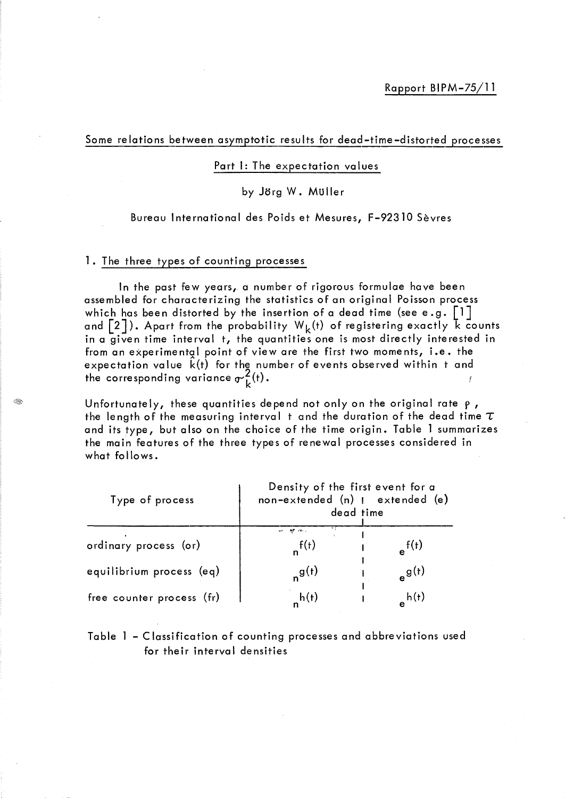Some relations between asymptotic results for dead-time-distorted processes

### Part 1: The expectation values

# by Jorg W. Muller

# Bureau International des Poids et Mesures, F-92310 Sèvres

# 1. The three types of counting processes

ln the past few years, a number of rigorous formulae have been assembled for characterizing the statistics of an original Poisson process which has been distorted by the insertion of a dead time (see e.g.  $\lceil 1 \rceil$ and  $[2]$ ). Apart from the probability  $W_k(t)$  of registering exactly  $\overline{k}$  counts in a given time interval t, the quantities one is most directly interested in from an experimentgl point of view are the first two moments, i.e. the expectation value k(t) for the number of events observed within t and the corresponding variance  $\sigma_L^2(t)$ . f

Unfortunately, these quantities depend not only on the original rate  $\rho$ , the length of the measuring interval t and the duration of the dead time  $\tau$ and its type, but also on the choice of the time origin. Table 1 summarizes the main features of the three types of renewal processes considered in what follows.

| Type of process           | Density of the first event for a<br>non-extended (n)   extended (e)<br>dead time |            |  |
|---------------------------|----------------------------------------------------------------------------------|------------|--|
| ordinary process (or)     | ņр по,<br>$n^{f(t)}$                                                             | $e^{f(t)}$ |  |
| equilibrium process (eq)  | $n^{g(t)}$                                                                       | $e^{g(t)}$ |  |
| free counter process (fr) | h(t)                                                                             | h(t)       |  |

# Table 1 - Classification of counting processes and abbreviations used for their interval densities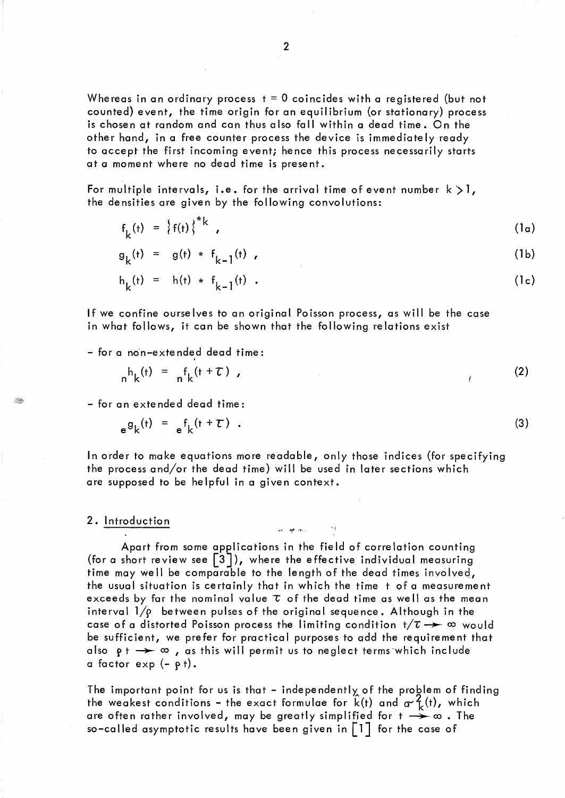Whereas in an ordinary process  $t = 0$  coincides with a registered (but not counted) event, the time origin for an equilibrium (or stationary) process is chosen at random and can thus also fall within a dead time. On the other hand, in a free counter process the device is immediately ready to accept the first incoming event; hence this process necessarily starts at a moment where no dead time is present.

For multiple intervals, i.e. for the arrival time of event number  $k > 1$ , the densities are given by the following convolutions:

 $f_{k}(t) = \{f(t)\}^*$  ,  $(1a)$ 

$$
g_k(t) = g(t) * f_{k-1}(t),
$$
 (1b)

$$
h_k(t) = h(t) * f_{k-1}(t) . \t\t(1c)
$$

If we confine ourse Ives to an original Poisson process, as will be the case in what follows, it can be shown that the following relations exist

- for a no'n-exte nded dead time:

$$
n^h k^{(t)} = n^f k^{(t + \tau)}, \qquad (2)
$$

(3)

- for an extended dead time:

 $_{e}g_{k}(t) = _{e}f_{k}(t+\tau)$ .

ln order to make equations more readable, only those indices (for specifying the process and/or the dead time) will be used in later sections which are supposed to be helpful in a given context.

 $\omega = \frac{1}{2} \frac{d^2}{dt^2}$  , where

#### 2. Introduction

Œ,

Apart from some applications in the field of correlation counting (for a short review see  $\lceil 3 \rceil$ ), where the effective individual measuring time may we Il be comparable to the length of the dead times involved, the usual situation is certainly that in which the time t of a measurement exceeds by far the nominal value  $\tau$  of the dead time as well as the mean interval  $1/\rho$  between pulses of the original sequence. Although in the case of a distorted Poisson process the limiting condition  $t/\tau \rightarrow \infty$  would be sufficient, we prefer for practical purposes to add the requirement that also  $g + \rightarrow \infty$  , as this will permit us to neglect terms which include a factor  $exp(-\rho t)$ .

The important point for us is that - independently of the problem of finding the weakest conditions – the exact formulae for  $\hat{k}(t)$  and  $\sigma^2_{\hat{k}}(t)$ , which are often rather involved, may be greatly simplified for  $t \rightarrow \infty$  . The so–called asymptotic results have been given in  $\left[\begin{smallmatrix}1\end{smallmatrix}\right]$  for the case of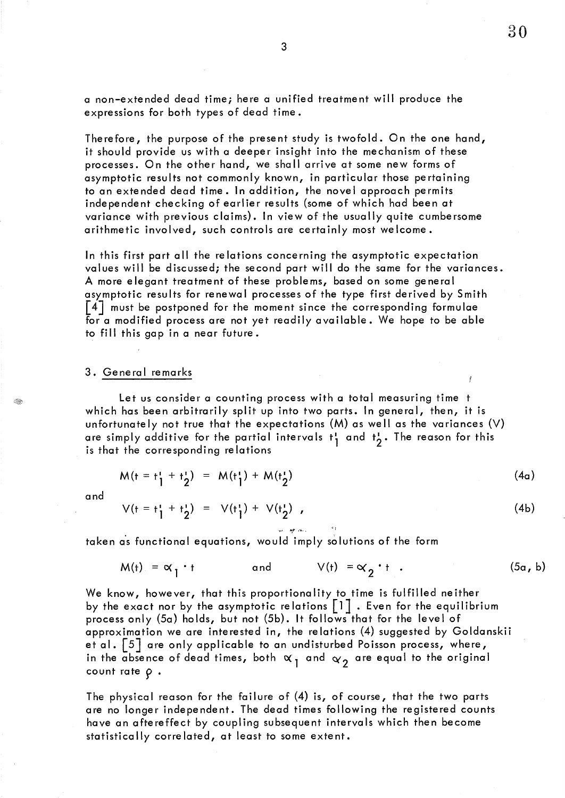a non-extended dead *timei* here a unified treatment will produce the expressions for both types of dead time.

Therefore, the purpose of the present study is twofold. On the one hand, it should provide us with a deeper insight into the mechanism of these processes. On the other hand, we shall arrive at some new forms of asymptotic results not commonly known, in particular those pertaining to an extended dead time. In addition, the novel approach permits independent checking of earlier results (some of which had been at variance with previous claims). In view of the usually quite cumbersome arithmetic involved, such controls are certainly most welcome.

ln this first part ail the relations concerning the asymptotic expectation values will be discussed; the second part will do the same for the variances. A more elegant treatment of these problems, based on some general asymptotic results for renewal processes of the type first derived by Smith [4J must be postponed for the moment since the corresponding formulae for a modified process are not yet readily available. We hope to be able to fill this gap in a near future.

#### 3. General remarks

Let us consider a counting process with a total measuring time t which has been arbitrarily split up into two parts. In general, then, it is unfortunately not true that the expectations  $(M)$  as well as the variances  $(V)$ are simply additive for the partial intervals  $t_1$  and  $t_2$ . The reason for this is that the corresponding relations is that the corresponding relations

 $-10$   $-10$ 

$$
M(t = t_1^t + t_2^t) = M(t_1^t) + M(t_2^t)
$$
 (4a)

and

Q,

$$
V(t = t_1^* + t_2^*) = V(t_1^*) + V(t_2^*) \t\t(4b)
$$

taken as functional equations, would imply solutions of the form

$$
M(t) = \alpha_1 \cdot t \qquad \text{and} \qquad V(t) = \alpha_2 \cdot t \qquad (5\alpha, b)
$$

We know, however, that this proportionality to time is fulfilled neither by the exact nor by the asymptotic relations  $\begin{bmatrix} 1 \end{bmatrix}$  . Even for the equilibrium process only (5a) holds, but not (5b). It follows that for the level of approximation we are interested in, the relations (4) suggested by Goldanskii et al. [5] are only applicable to an undisturbed Poisson process, where, in the absence of dead times, both  $\alpha_1$  and  $\alpha_2$  are equal to the original count rate  $\rho$ .

The physical reason for the failure of (4) is, of course, that the two parts are no longer independent. The dead times following the registered counts have an aftereffect by coupling subsequent intervals which then become statistically correlated, at least to some extent.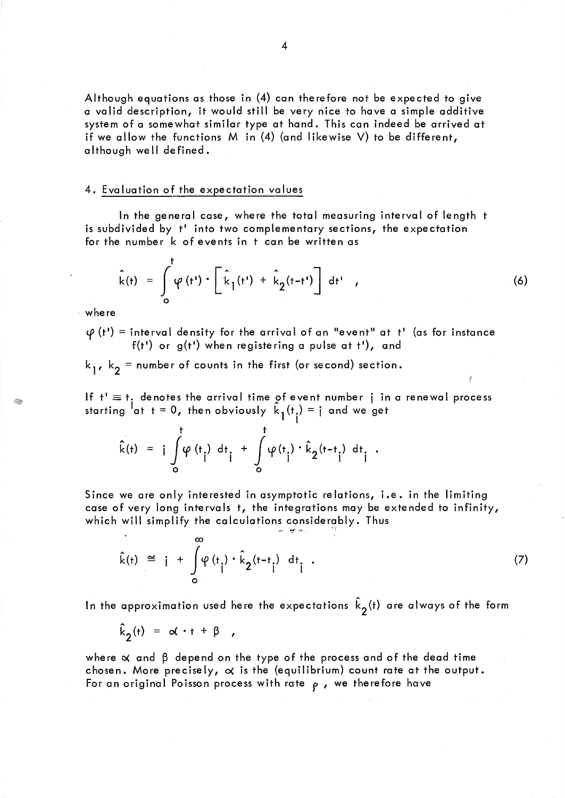Although equations as those in (4) can therefore not be expected to give a valid description, it would still be very nice to have a simple additive system of a somewhat similar type at hand. This can indeed be arrived at if we allow the functions M in (4) (and likewise V) to be different, although weil defined.

# 4. Evaluation of the expectation values

ln the general case, where the total measuring interval of length t is subdivided by  $t'$  into two complementary sections, the expectation for the number k of events in t can be written as

$$
\hat{k}(t) = \int_{0}^{t} \varphi(t') \cdot \left[ \hat{k}_{1}(t') + \hat{k}_{2}(t-t') \right] dt', \qquad (6)
$$

where

 $\varphi$  (t<sup>1</sup>) = interval density for the arrival of an "event" at t' (as for instance f(t') or  $g(t')$  when registering a pulse at t'), and

 $k_{1}$ ,  $k_{2}$  = number of counts in the first (or second) section.

If  $t' \equiv t$ , denotes the arrival time of event number j in a renewal process starting  ${}^{1}$ at t = 0, then obviously  $k_{\parallel}$ (t<sub>i</sub>) = j and we get

$$
\hat{k}(t) = i \int_{0}^{t} \phi(t_1) dt_1 + \int_{0}^{t} \phi(t_1) \cdot \hat{k}_2(t-t_1) dt_1.
$$

Since we are only interested in asymptotic relations, i.e. in the limiting case of very long intervals t, the integrations may be extended to infinity, which will simplify the calculations considerably. Thus

*'l'* "',,. ....... '

$$
\hat{k}(t) \cong i + \int_{0}^{\infty} \varphi(t_i) \cdot \hat{k}_2(t-t_i) dt_i . \tag{7}
$$

In the approximation used here the expectations  $\hat{k}_\mathbf{2}^{\,(\mathsf{t})}$  are always of the form

$$
\hat{k}_2(t) = \alpha \cdot t + \beta ,
$$

where  $\alpha$  and  $\beta$  depend on the type of the process and of the dead time chosen. More precisely,  $\alpha$  is the (equilibrium) count rate at the output. For an original Poisson process with rate  $\rho$ , we therefore have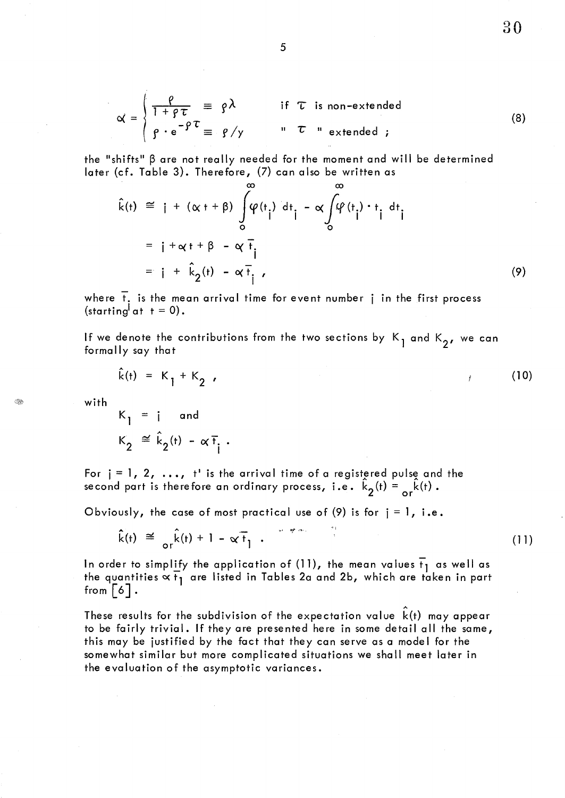$$
\alpha = \begin{cases} \frac{\rho}{1 + \rho \tau} = \rho \lambda & \text{if } \tau \text{ is non-extended} \\ \rho \cdot e^{-\rho \tau} = \rho / \gamma & \text{if } \tau \text{ is non-extended } \end{cases}
$$
(8)

30

the "shifts"  $\beta$  are not really needed for the moment and will be determined later (cf. Table 3). Therefore, (7) can also be written as

$$
\hat{k}(t) \cong j + (\alpha + \beta) \int_{0}^{\infty} \varphi(t_1) dt_1 - \alpha \int_{0}^{\infty} \varphi(t_1) \cdot t_1 dt_1
$$
\n
$$
= j + \alpha + \beta - \alpha \bar{t}_1
$$
\n
$$
= j + \hat{k}_2(t) - \alpha \bar{t}_1,
$$
\n(9)

where  $\bar{t}$ , is the mean arrival time for event number  $\bar{i}$  in the first process (starting at  $t = 0$ ).

If we denote the contributions from the two sections by  $K_1$  and  $K_2$ , we can formally say that

$$
\hat{k}(t) = K_1 + K_2 \tag{10}
$$

with

G.

 $K_1 = i$  and  $K_2 \cong \hat{k}_2(t) - \alpha \bar{t}_i$ .

For  $j = 1, 2, \ldots$ , t' is the arrival time of a registered pulse and the second part is therefore an ordinary process, i.e.  $\hat{k}_2(t) = \frac{\hat{k}}{\sigma}(\hat{k}(t))$ .

Obviously, the case of most practical use of (9) is for  $j = 1$ , i.e.

$$
\hat{k}(t) \cong \hat{kr}(t) + 1 - \alpha \overline{t}_1 \quad . \tag{11}
$$

A

In order to simplify the application of (11), the mean values  $\overline{t}_1$  as well as the quantities  $\propto t_1$  are listed in Tables 2a and 2b, which are taken in part from  $\lceil 6 \rceil$ .

These results for the subdivision of the expectation value  $k(t)$  may appear to be fairly trivial. If they are presented here in some detail all the same, this may be justified by the fact that they can serve as a model for the somewhat similar but more complicated situations we shall meet later in the evaluation of the asymptotic variances.

5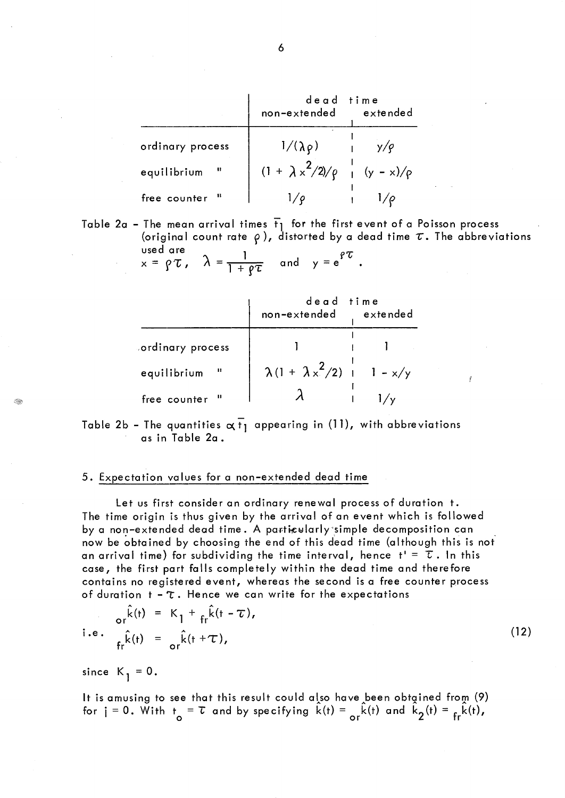|                                    | dead time<br>non-extended                    | extended |
|------------------------------------|----------------------------------------------|----------|
| ordinary process                   | $1/(\lambda \rho)$                           |          |
| $\ddot{\mathbf{u}}$<br>equilibrium | $(1 + \lambda x^2/2)/\rho \int (y - x)/\rho$ |          |
| free counter "                     |                                              |          |

Table 2a - The mean arrival times  $\overline{t}_1$  for the first event of a Poisson process (original count rate  $\rho$ ), distorted by a dead time  $\tau$ . The abbreviations used are

$$
x = \rho \tau
$$
,  $\lambda = \frac{1}{1 + \rho \tau}$  and  $y = e^{\rho \tau}$ .

|                   | dead time<br>non-extended extended   |  |
|-------------------|--------------------------------------|--|
| cordinary process |                                      |  |
| equilibrium       | $\lambda(1 + \lambda x^2/2)$ 1 - x/y |  |
| free counter "    |                                      |  |

Table 2b - The quantities  $\alpha \bar{t}_1$  appearing in (11), with abbreviations as in Table 2a.

## 5. Expectation values for a non-extended dead time

Let us first consider an ordinary renewal process of duration t. The time origin is thus given by the arrival of an event which is followed by a non-extended dead time. A particularly simple decomposition can now be obtained by choosing the end of this dead time (although this is not an arrival time) for subdividing the time interval, hence  $t' = \tau$ . In this case, the first part falls completely within the dead time and therefore contains no registered event, whereas the second is a free counter process of duration  $t - \tau$ . Hence we can write for the expectations

$$
\hat{\mathbf{r}}_{\mathbf{r}}(\mathbf{r}) = \kappa_1 + \frac{\hat{\mathbf{r}}(\mathbf{r}) - \mathbf{r}}{\mathbf{r}^2(\mathbf{r})}
$$
\ni.e.

\n
$$
\hat{\mathbf{r}}_{\mathbf{r}}(\mathbf{r}) = \frac{\hat{\mathbf{r}}(\mathbf{r}) - \mathbf{r}^2}{\mathbf{r}^2(\mathbf{r})}
$$
\n(12)

since  $K_1 = 0$ .

It is amusing to see that this result could also have been obtained from  $(9)$ for  $i = 0$ . With  $t_o = \tau$  and by specifying  $\hat{k}(t) = \frac{\hat{k}(t)}{or} \hat{k}(t)$  and  $\hat{k}_2(t) = \frac{\hat{k}(t)}{or}$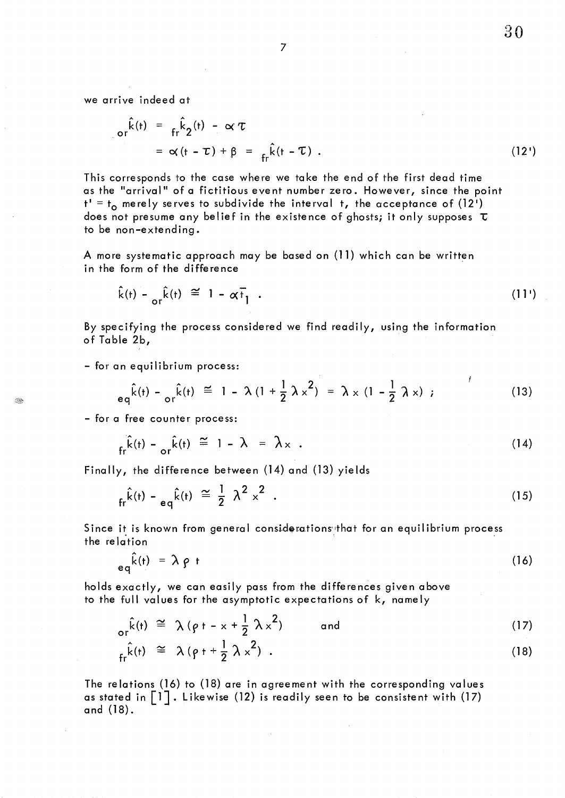7

we arrive indeed at

$$
\begin{aligned}\n\sigma_r^{\hat{k}}(t) &= f_r^{\hat{k}} 2^{(t)} - \alpha' \tau \\
&= \alpha (t - \tau) + \beta = f_r^{\hat{k}}(t - \tau) \quad .\n\end{aligned} \tag{12'}
$$

This corresponds to the case where we take the end of the first dead time as the "arrival" of a fictitious event number zero. However, since the point t' = t<sub>o</sub> merely serves to subdivide the interval t, the acceptance of (12') does not presume any belief in the existence of ghosts; it only supposes  $\tau$ to be non-extending.

A more systematic approach may be based on (11) which can be written in the form of the difference

$$
\hat{k}(t) - \frac{\hat{k}(t)}{\sigma r} \approx 1 - \alpha \vec{t}_1 \quad . \tag{11'}
$$

By specifying the process considered we find readily, using the information of Table 2b,

- for an equilibrium process:

$$
e_q \hat{k}(t) - \frac{\hat{k}(t)}{\sigma r} \stackrel{\text{(i)}}{=} 1 - \lambda (1 + \frac{1}{2} \lambda x^2) = \lambda x (1 - \frac{1}{2} \lambda x);
$$
 (13)

- for a free counter process:

$$
f_{fr}\hat{k}(t) - \frac{\hat{k}(t)}{\sigma r}\hat{k}(t) \approx 1 - \lambda = \lambda_{x}.
$$
 (14)

Finally, the difference between (14) and (13) yields

$$
f_{\rm r} \hat{k}(t) - e_q \hat{k}(t) \approx \frac{1}{2} \lambda^2 \lambda^2 \tag{15}
$$

Since it is known from general considerations that for an equilibrium process the relation

$$
eq^{\hat{k}(t)} = \lambda \rho t \tag{16}
$$

holds exactly, we can easily pass from the differences given above to the full values for the asymptotic expectations of k, namely

$$
\begin{array}{rcl}\n\text{or} & \hat{k}(t) & \cong & \lambda \left( \rho + -x + \frac{1}{2} \lambda x^2 \right) \\
\text{or} & \hat{k}(t) & \cong & \lambda \left( \rho + + \frac{1}{2} \lambda x^2 \right) \\
\text{or} & \hat{k}(t) & \cong & \lambda \left( \rho + + \frac{1}{2} \lambda x^2 \right) \,.\n\end{array} \tag{17}
$$

The relations (16) to (18) are in agreement with the corresponding values as stated in 
$$
\begin{bmatrix} 1 \\ 1 \end{bmatrix}
$$
. Likewise (12) is readily seen to be consistent with (17) and (18).

**BA**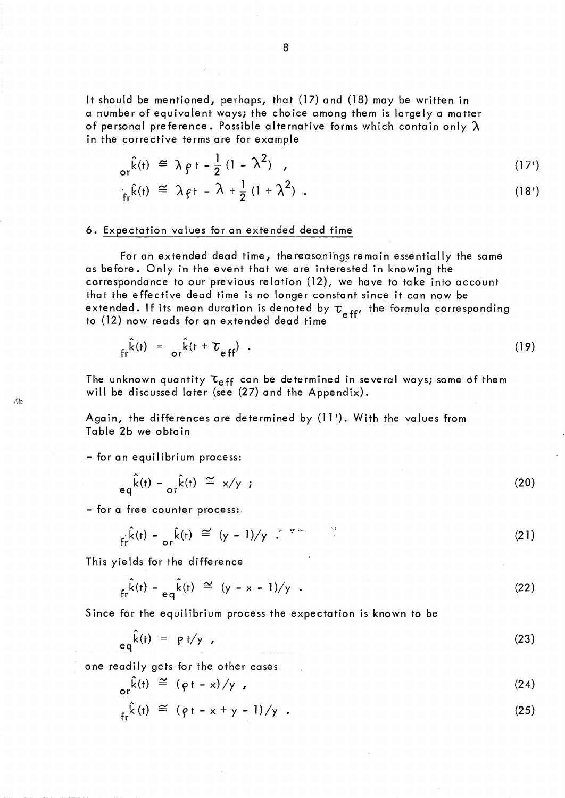It should be mentioned, perhaps, that (17) and (18) may be written in a number of equivalent ways; the choice among them is largely a matter of personal preference. Possible alternative forms which contain only *À*  in the corrective terms are for example

$$
\hat{k}(t) \cong \lambda \rho t - \frac{1}{2} (1 - \lambda^2) \quad , \tag{17'}
$$

$$
\hat{f}_{\rm fr} \hat{k}(t) \cong \lambda \rho t - \lambda + \frac{1}{2} (1 + \lambda^2) \quad . \tag{18'}
$$

### 6. Expectation values for an extended dead time

For an extended dead time, the reasonings remain essentially the same as before. Only in the event that we are interested in knowing the correspondance to our previous relation (12), we have to take into account that the effective dead time is no longer constant since it can now be extended. If its mean duration is denoted by  $\tau_{_{\rm eff'}}$  the formula corresponding to  $(12)$  now reads for an extended dead time

$$
f_r \hat{k}(t) = \frac{\hat{k}(t + \tau_{eff})}{2} \tag{19}
$$

The unknown quantity  $\tau_{eff}$  can be determined in several ways; some of them will be discussed later (see (27) and the Appendix).

Again, the differences are determined by (11'). With the values from Table 2b we obtain

- for an equilibrium process:

**BR** 

$$
eq^{\hat{k}(t) - \alpha r^{\hat{k}(t)} \cong x/y \tag{20}
$$

- for a free counter process:

$$
\hat{fr}^k(t) - \frac{\hat{k}(t)}{\sigma^2} \approx (y - 1)/y \quad \text{if} \quad \hat{f}^k(t) = 1
$$
 (21)

This yields for the difference

$$
f_r \hat{k}(t) - e_q \hat{k}(t) \cong (y - x - 1)/y
$$
 (22)

Since for the equilibrium process the expectation is known to be

$$
eq^{\hat{k}(t)} = \rho t/y \tag{23}
$$

one readily gets for the other cases

$$
\rho_r(\hat{k}(t)) \cong (\rho t - x) / y \qquad (24)
$$

$$
f_{\rm fr} \hat{k}(t) \cong (\rho t - x + y - 1) / y
$$
 (25)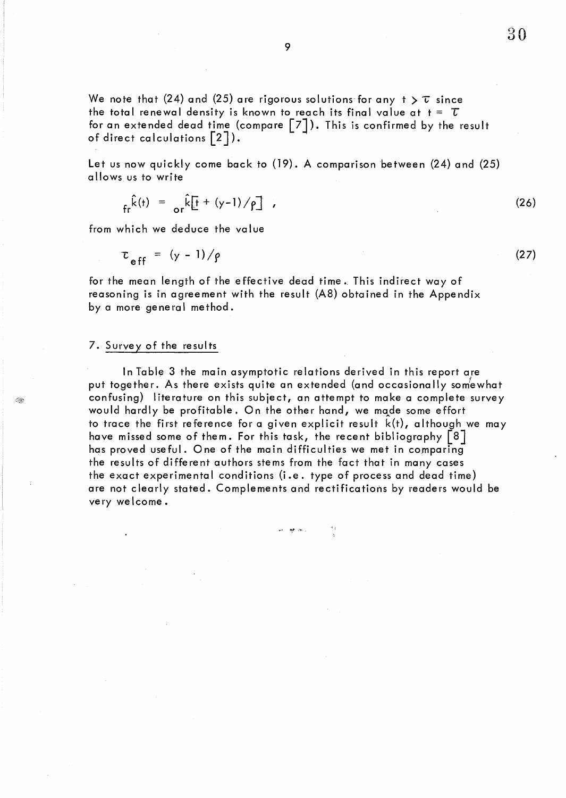We note that (24) and (25) are rigorous solutions for any  $t > \tau$  since the total renewal density is known to reach its final value at  $t = \tau$ for an extended dead time (compare  $\lceil 7 \rceil$ ). This is confirmed by the result of direct calculations  $\lceil 2 \rceil$ ).

Let us now quickly come back to (19). A comparison between (24) and (25) a Ilows us to write

$$
f_r \hat{k}(t) = \frac{1}{\sigma r} \hat{k} \left[ \frac{1}{2} + (y-1) / \rho \right] \tag{26}
$$

from which we deduce the value

$$
\tau_{eff} = (y - 1) / \rho \tag{27}
$$

for the mean length of the effective dead time. This indirect way of reasoning is in agreement with the result (A8) obtained in the Appendix by a more general method.

### 7. Survey of the results

ln Table 3 the main asymptotic relations derived in this report are put together. As there exists quite an extended (and occasionally somewhat confusing) literature on this subject, an attempt to make a complete survey would hardly be profitable. On the other hand, we made some effort to trace the first reference for a given explicit result k(t), although we may have missed some of them. For this task, the recent bibliography  $\lceil 8 \rceil$ has proved useful. One of the main difficulties we met in comparing the results of different authors stems from the fact that in many cases the exact experimental conditions (i.e. type of process and dead time) are not clearly stated. Complements and rectifications by readers would be very welcome.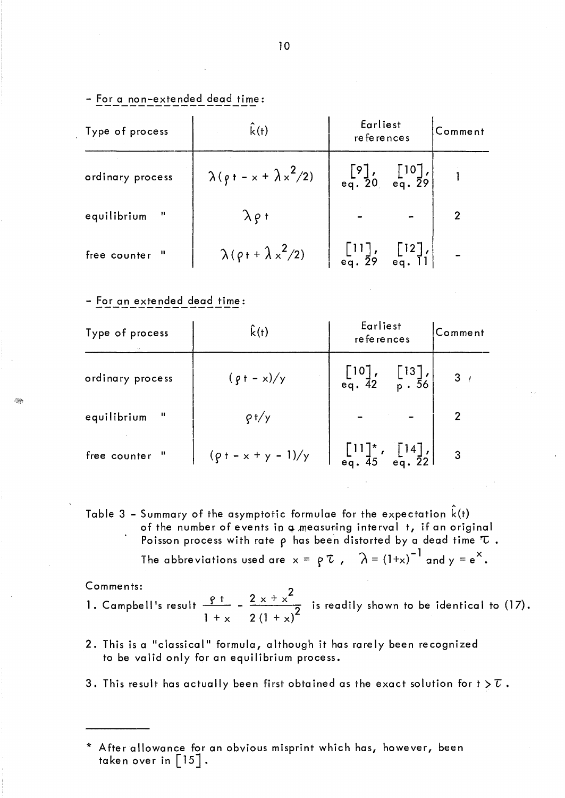| Type of process              | $\hat{k}(t)$                           | Earliest<br>references                                                                |  | Comment        |
|------------------------------|----------------------------------------|---------------------------------------------------------------------------------------|--|----------------|
| ordinary process             | $\lambda (\rho + - x + \lambda x^2/2)$ | $\begin{bmatrix} 9 \end{bmatrix}$ , $\begin{bmatrix} 10 \end{bmatrix}$ , eq. 29       |  |                |
| $\mathbf{H}%$<br>equilibrium | $\lambda$ $\rho$ t                     |                                                                                       |  | $\overline{2}$ |
| $^{\rm n}$<br>free counter   | $\lambda (\rho + \lambda x^2/2)$       | $\begin{bmatrix} 11 \\ \text{eq. 29} \\ \text{eq. 29} \\ \text{eq. 11} \end{bmatrix}$ |  |                |

- For an extended dead time:

| Type of process             | $\hat{k}(t)$             | Earliest<br>references                                                                                     |  | Comment        |
|-----------------------------|--------------------------|------------------------------------------------------------------------------------------------------------|--|----------------|
| ordinary process            | $(\rho + -x)/y$          | $\begin{bmatrix} 10 \\ \text{eq. } 42 \end{bmatrix}$ , $\begin{bmatrix} 13 \\ \text{p. } 56 \end{bmatrix}$ |  | $3 \t/$        |
| $\mathbf{u}$<br>equilibrium | $\rho f/y$               |                                                                                                            |  |                |
| free counter "              | $(\rho + - x + y - 1)/y$ |                                                                                                            |  | $\overline{3}$ |

Table 3 – Summary of the asymptotic formulae for the expectation  $\hat{k}(t)$ of the number of events in  $\phi$  measuring interval  $\,$  t, if an original Poisson process with rate  $\rho$  has been distorted by a dead time  $\tau$ 

The abbreviations used are  $x = \rho \tau$ ,  $\lambda = (1+x)^{-1}$  and  $y = e^x$ .

Comments:<br>1. Campbell's result <u>9t -</u> 2  $1 + x$  $2x + x^2$ 2  $(1 + x)^2$ is readily shown to be identical to  $(17)$ .

- 2. This is a "classical" formula, although it has rarely been recognized to be valid only for an equilibrium process.
- 3. This result has actually been first obtained as the exact solution for t  $\gtrsim \overline{\iota}$ .

<sup>\*</sup> Afterallowance for an obvious misprint which has, however, been taken over in  $\left[15\right]$ .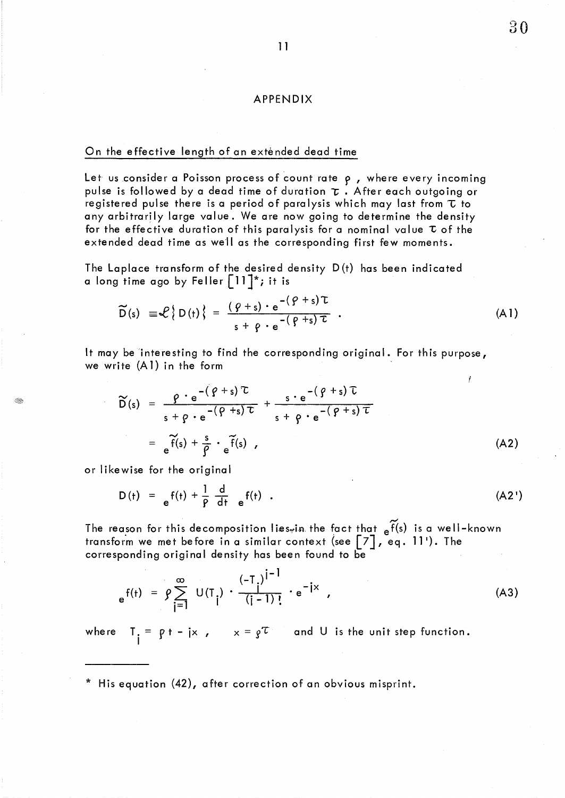## APPENDIX

#### On the effective length of an exténded dead time

Let us consider a Poisson process of count rate  $\rho$ , where every incoming pulse is followed by a dead time of duration  $\tau$ . After each outgoing or registered pulse there is a period of paralysis which may last from  $\tau$  to any arbitrarily large value. We are now going to determine the density for the effective duration of this paralysis for a nominal value  $\tau$  of the extended dead time as weil as the corresponding first few moments.

The Laplace transform of the desired density D(t) has been indicated a long time ago by Feller  $\lceil 11 \rceil^*$ ; it is

$$
\widetilde{D}(s) \equiv \mathcal{L} \{ D(t) \} = \frac{(\varphi + s) \cdot e^{-(\varphi + s) \tau}}{s + \varphi \cdot e^{-(\varphi + s) \tau}} \quad . \tag{A1}
$$

It may be 'interesting to find the corresponding original. For this purpose, we write (Al) in the form

$$
\widetilde{D}(s) = \frac{\rho \cdot e^{-(\rho+s)\tau}}{s + \rho \cdot e^{-(\rho+s)\tau}} + \frac{s \cdot e^{-(\rho+s)\tau}}{s + \rho \cdot e^{-(\rho+s)\tau}}
$$

$$
= e^{\widetilde{f}(s) + \frac{s}{\rho} \cdot e^{\widetilde{f}(s)}}, \qquad (A2)
$$

or likewise for the original

 $-100$ 

$$
D(t) = e^{f(t) + \frac{1}{\rho} \frac{d}{dt} e^{f(t)}.
$$
 (A2')

 $\sim$ The reason for this decomposition lies<sub>"</sub>in the fact that <sub>e</sub>f(s) is a well-known transform we met before in a similar context (see  $\left[\begin{matrix} 7 \end{matrix}\right]$  , eq. 11'). The corresponding original density has been found to be

$$
e^{f(t)} = \rho \sum_{j=1}^{\infty} U(T_j) \cdot \frac{(-T_j)^{j-1}}{(j-1)!} \cdot e^{-jx} , \qquad (A3)
$$

where  $T_i =$  $\mathbf{p} = \mathbf{p} + -\mathbf{j} \times \mathbf{p}$   $\mathbf{x} = \mathbf{g}^T$  and U is the unit step function.

\* His equation (42), after correction of an obvious misprint.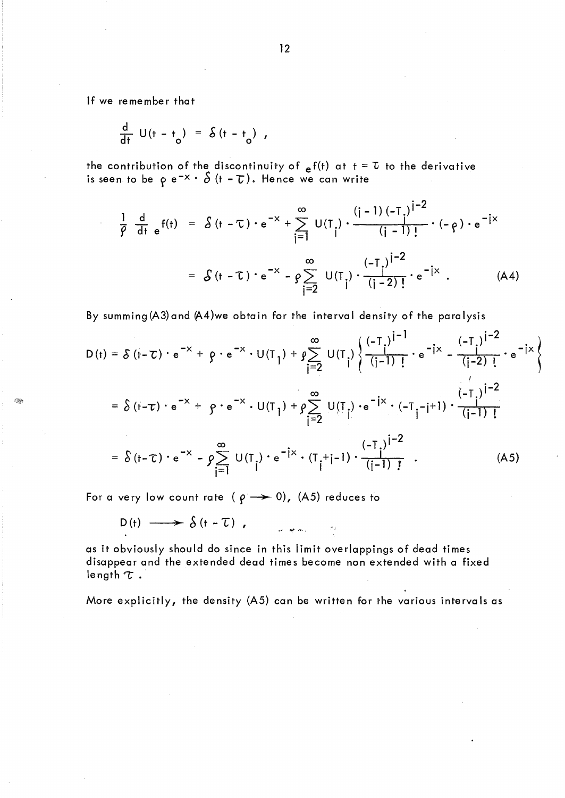If we remember that

$$
\frac{d}{dt} U(t - t_0) = \delta (t - t_0) ,
$$

the contribution of the discontinuity of  $_{e}f(t)$  at  $t = \tau$  to the derivative is seen to be  $\rho$  e<sup>-x .</sup>  $\delta$  (t -  $\tau$ ). Hence we can write

$$
\frac{1}{\beta} \frac{d}{dt} e^{f(t)} = \delta(t - \tau) \cdot e^{-x} + \sum_{i=1}^{\infty} U(T_i) \cdot \frac{(i-1)(-T_i)^{i-2}}{(i-1)!} \cdot (-\rho) \cdot e^{-ix}
$$

$$
= \delta(t - \tau) \cdot e^{-x} - \rho \sum_{i=2}^{\infty} U(T_i) \cdot \frac{(-T_i)^{i-2}}{(i-2)!} \cdot e^{-ix} . \tag{A4}
$$

By summing (A3) and (A4)we obtain for the interval density of the paralysis  
\n
$$
D(t) = \delta (t - \tau) \cdot e^{-x} + \beta \cdot e^{-x} \cdot U(T_1) + \beta \sum_{j=2}^{\infty} U(T_j) \left\{ \frac{(-T_j)^{j-1}}{(j-1)!} \cdot e^{-ix} - \frac{(-T_j)^{j-2}}{(j-2)!} \cdot e^{-ix} \right\}
$$
\n
$$
= \delta (t - \tau) \cdot e^{-x} + \beta \cdot e^{-x} \cdot U(T_1) + \beta \sum_{j=2}^{\infty} U(T_j) \cdot e^{-ix} \cdot (-T_j - j + 1) \cdot \frac{(-T_j)^{j-2}}{(j-1)!}
$$
\n
$$
= \delta (t - \tau) \cdot e^{-x} - \beta \sum_{j=1}^{\infty} U(T_j) \cdot e^{-ix} \cdot (T_j + j - 1) \cdot \frac{(-T_j)^{j-2}}{(j-1)!}
$$
\n(A5)

For a very low count rate ( $\rho \rightarrow 0$ ), (A5) reduces to

$$
D(t) \longrightarrow \delta(t-T), \qquad \qquad \text{where}
$$

as it obviously should do since in this limit overlappings of dead times disappear and the extended dead times become non extended with a fixed length  $\tau$ .

More explicitly, the density (AS) can be written for the various intervals as

12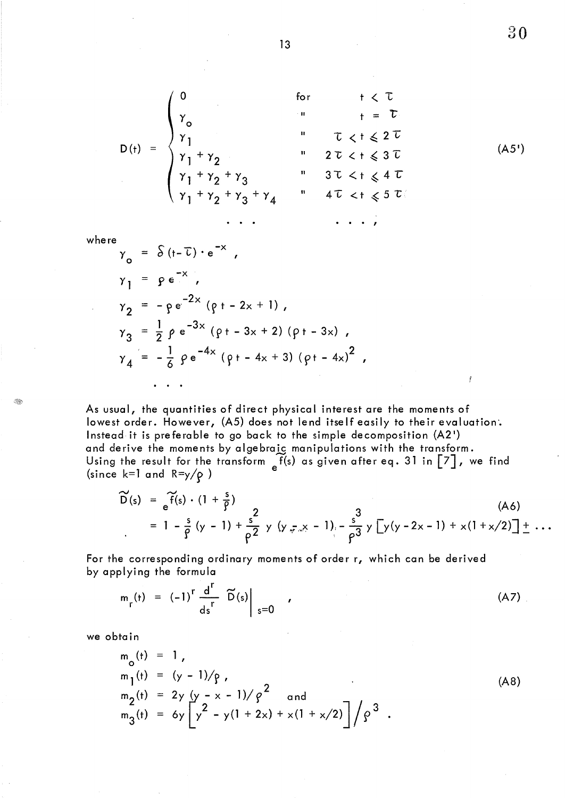$$
D(t) = \begin{cases} 0 & \text{for } t < \tau \\ \gamma_0 & \text{if } t = \tau \\ \gamma_1 & \text{if } \tau < t \leq 2\tau \\ \gamma_1 + \gamma_2 & \text{if } 2\tau < t \leq 3\tau \\ \gamma_1 + \gamma_2 + \gamma_3 & \text{if } 3\tau < t \leq 4\tau \\ \gamma_1 + \gamma_2 + \gamma_3 + \gamma_4 & \text{if } 4\tau < t \leq 5\tau \\ \cdot & \cdot & \cdot & \cdot & \cdot \end{cases}
$$

where

$$
\gamma_0 = \delta (t - \overline{t}) \cdot e^{-x},
$$
  
\n
$$
\gamma_1 = \rho e^{-x},
$$
  
\n
$$
\gamma_2 = -\rho e^{-2x} (\rho t - 2x + 1),
$$
  
\n
$$
\gamma_3 = \frac{1}{2} \rho e^{-3x} (\rho t - 3x + 2) (\rho t - 3x),
$$
  
\n
$$
\gamma_4 = -\frac{1}{6} \rho e^{-4x} (\rho t - 4x + 3) (\rho t - 4x)^2,
$$
  
\n...

As usual, the quantities of direct physical interest are the moments of lowest order. However, (A5) does not lend itself easily to their evaluation'. Instead it is preferable to go back to the simple decomposition (A2 <sup>1</sup> ) and derive the moments by algebraic manipulations with the transform. Using the result for the transform  $\int\!\!\hat{f}(s)$  as given after eq. 31 in  $\left[\begin{matrix} 7 \end{matrix}\right]$ , we find (since k=1 and R=y/ $\rho$  )  $e$ 

$$
\widetilde{D}(s) = \widetilde{f}(s) \cdot (1 + \frac{s}{\rho})
$$
\n
$$
= 1 - \frac{s}{\rho} (y - 1) + \frac{s}{\rho^2} y (y - x - 1) - \frac{s}{\rho^3} y [y(y - 2x - 1) + x(1 + x/2)] + ...
$$
\n(A6)

For the corresponding ordinary moments of order r, which can be derived by applying the formula

$$
m_r(t) = (-1)^r \frac{d^r}{ds^r} \widetilde{D}(s) \Big|_{s=0} \qquad (A7)
$$

we obtain

$$
m_0(t) = 1,\nm_1(t) = (y - 1)/\rho,\nm_2(t) = 2y (y - x - 1)/\rho2 and\nm_3(t) = 6y  $\left[ y^2 - y(1 + 2x) + x(1 + x/2) \right] / \rho3$  (A8)
$$

 $30$ 

 $( A5' )$ 

ť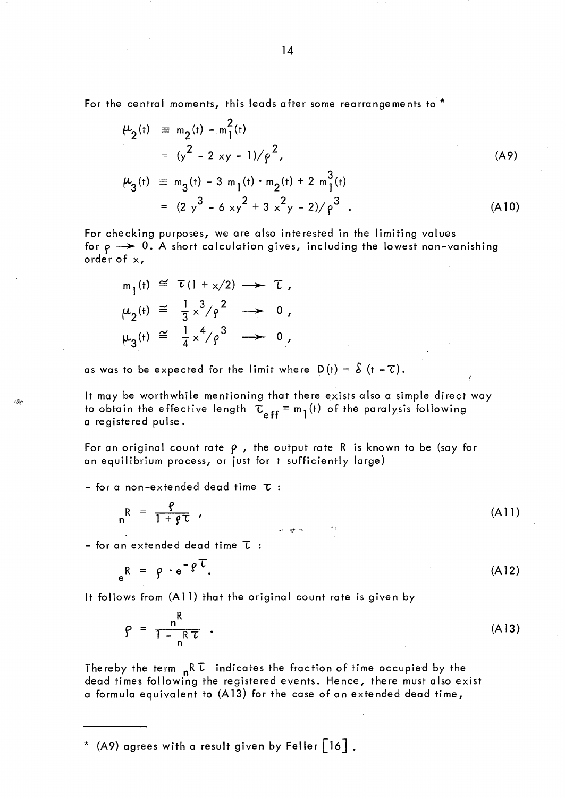For the central moments, this leads after some rearrangements to \*

$$
\mu_2(t) \equiv m_2(t) - m_1^2(t)
$$
  
\n
$$
= (y^2 - 2xy - 1)/\rho^2,
$$
  
\n
$$
\mu_3(t) \equiv m_3(t) - 3m_1(t) \cdot m_2(t) + 2m_1^3(t)
$$
  
\n
$$
= (2y^3 - 6xy^2 + 3x^2y - 2)/\rho^3.
$$
 (A10)

For checking purposes, we are also interested in the limiting values for  $\rho \rightarrow 0$ . A short calculation gives, including the lowest non-vanishing orderof x,

$$
m_1(t) \cong \tau(1 + x/2) \longrightarrow \tau,
$$
  
\n
$$
\mu_2(t) \cong \frac{1}{3}x^3/\rho^2 \longrightarrow 0,
$$
  
\n
$$
\mu_3(t) \cong \frac{1}{4}x^4/\rho^3 \longrightarrow 0,
$$

as was to be expected for the limit where  $D(t) = \delta(t - \tau)$ .

It may be worthwhile mentioning that there exists also a simple direct way to obtain the effective length  $\tau_{eff} = m_l(t)$  of the paralysis following a registered pulse.

For an original count rate  $\rho$ , the output rate R is known to be (say for an equilibrium process, or just for t sufficiently large)

- for a non-extended dead time  $\tau$  :

$$
{}_{n}R = \frac{\varrho}{1 + \varrho \tau} \qquad (A11)
$$

- for an extended dead time  $\bar{L}$ :

$$
e^{R} = \rho \cdot e^{-\rho \tau}.
$$
 (A12)

It follows from (A 11) that the original count rate is given by

$$
\rho = \frac{n^R}{1 - n^R \tau} \tag{A13}
$$

Thereby the term  $nR\bar{L}$  indicates the fraction of time occupied by the dead times following the registered events. Hence, there must also exist a formula equivalent to (A13) for the case of an extended dead time,

\* (A9) agrees with a result given by Feller  $\lceil 16 \rceil$  .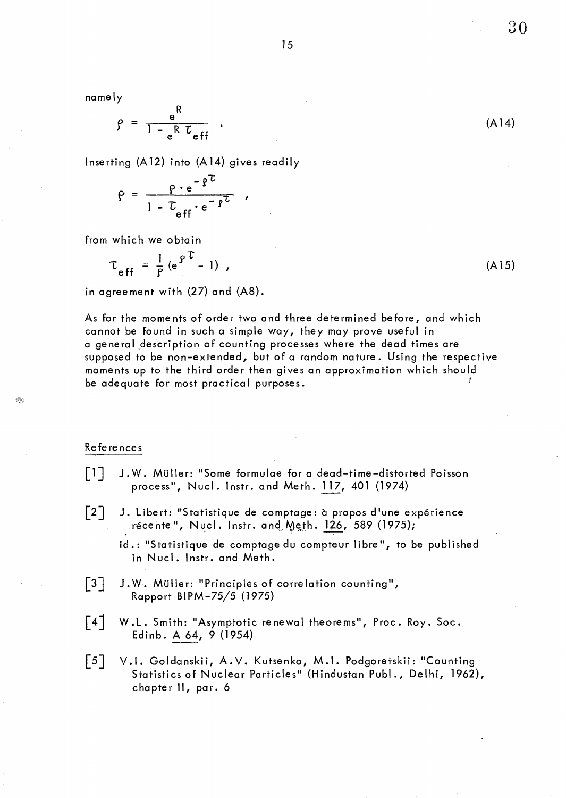15

namely

$$
\rho = \frac{e^{R}}{1 - e^{R} L_{eff}} \quad . \tag{A14}
$$

Inserting (A 12) into (A 14) gives readily

$$
\rho = \frac{\rho \cdot e^{-\beta U}}{1 - U_{eff} \cdot e^{-\beta U}} ,
$$

from which we obtain

$$
\tau_{eff} = \frac{1}{P} (e^{\rho \tau} - 1) , \qquad (A15)
$$

in agreement with (27) and (A8).

As for the moments of order two and three determined before, and which cannot be found in such a simple way, they may prove useful in a general description of counting processes where the dead times are supposed to be non-extended, but of a random nature. Using the respective moments up to the third order then gives an approximation which should be adequate for most practical purposes.

#### Re fe re nces

I.

- $\begin{bmatrix} 1 \end{bmatrix}$ J. W. Müller: "Some formulae for a dead-time-distorted Poisson process", Nucl. Instr. and Meth. 117, 401 (1974)
- $\lceil 2 \rceil$ J. Libert: "Statistique de comptage: à propos d'une expérience récente", Nucl. Instr. and Meth.  $126$ , 589 (1975);

id.: "Statistique de comptage du compteur libre", to be published in Nucl. Instr. and Meth.

- $\lceil 3 \rceil$ J.W. Müller: "Principles of correlation counting", Rapport BI PM-75/5 (1975)
- W.L. Smith: "Asymptotic renewal theorems", Proc. Roy. Soc.  $\lceil 4 \rceil$ Edinb. A 64, 9 (1954)
- $\lceil 5 \rceil$ V.I. Goldanskii, A.V. Kutsenko, M.I. Podgoretskii: "Counting Statistics of Nuclear Particles" (Hindustan Publ., Delhi, 1962), chapter Il, par. 6